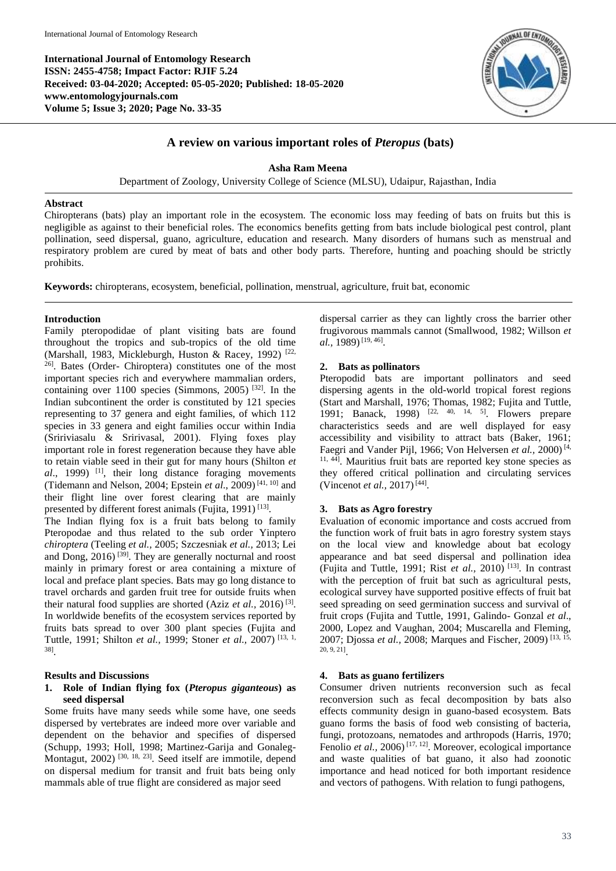**International Journal of Entomology Research ISSN: 2455-4758; Impact Factor: RJIF 5.24 Received: 03-04-2020; Accepted: 05-05-2020; Published: 18-05-2020 www.entomologyjournals.com Volume 5; Issue 3; 2020; Page No. 33-35**



# **A review on various important roles of** *Pteropus* **(bats)**

#### **Asha Ram Meena**

Department of Zoology, University College of Science (MLSU), Udaipur, Rajasthan, India

#### **Abstract**

Chiropterans (bats) play an important role in the ecosystem. The economic loss may feeding of bats on fruits but this is negligible as against to their beneficial roles. The economics benefits getting from bats include biological pest control, plant pollination, seed dispersal, guano, agriculture, education and research. Many disorders of humans such as menstrual and respiratory problem are cured by meat of bats and other body parts. Therefore, hunting and poaching should be strictly prohibits.

**Keywords:** chiropterans, ecosystem, beneficial, pollination, menstrual, agriculture, fruit bat, economic

### **Introduction**

Family pteropodidae of plant visiting bats are found throughout the tropics and sub-tropics of the old time (Marshall, 1983, Mickleburgh, Huston & Racey, 1992)<sup>[22,</sup> 26] . Bates (Order- Chiroptera) constitutes one of the most important species rich and everywhere mammalian orders, containing over 1100 species (Simmons, 2005) [32] . In the Indian subcontinent the order is constituted by 121 species representing to 37 genera and eight families, of which 112 species in 33 genera and eight families occur within India (Sririviasalu & Sririvasal, 2001). Flying foxes play important role in forest regeneration because they have able to retain viable seed in their gut for many hours (Shilton *et al*., 1999) [1] , their long distance foraging movements (Tidemann and Nelson, 2004; Epstein *et al*., 2009) [41, 10] and their flight line over forest clearing that are mainly presented by different forest animals (Fujita, 1991)<sup>[13]</sup>.

The Indian flying fox is a fruit bats belong to family Pteropodae and thus related to the sub order Yinptero *chiroptera* (Teeling *et al.,* 2005; Szczesniak *et al.,* 2013; Lei and Dong, 2016)<sup>[39]</sup>. They are generally nocturnal and roost mainly in primary forest or area containing a mixture of local and preface plant species. Bats may go long distance to travel orchards and garden fruit tree for outside fruits when their natural food supplies are shorted (Aziz *et al.,* 2016) [3] . In worldwide benefits of the ecosystem services reported by fruits bats spread to over 300 plant species (Fujita and Tuttle, 1991; Shilton *et al.,* 1999; Stoner *et al.,* 2007) [13, 1, 38] .

#### **Results and Discussions**

### **1. Role of Indian flying fox (***Pteropus giganteous***) as seed dispersal**

Some fruits have many seeds while some have, one seeds dispersed by vertebrates are indeed more over variable and dependent on the behavior and specifies of dispersed (Schupp, 1993; Holl, 1998; Martinez-Garija and Gonaleg-Montagut, 2002)<sup>[30, 18, 23]</sup>. Seed itself are immotile, depend on dispersal medium for transit and fruit bats being only mammals able of true flight are considered as major seed

dispersal carrier as they can lightly cross the barrier other frugivorous mammals cannot (Smallwood, 1982; Willson *et al.,* 1989)<sup>[19, 46]</sup>.

### **2. Bats as pollinators**

Pteropodid bats are important pollinators and seed dispersing agents in the old-world tropical forest regions (Start and Marshall, 1976; Thomas, 1982; Fujita and Tuttle, 1991; Banack, 1998) [22, 40, 14, 5] . Flowers prepare characteristics seeds and are well displayed for easy accessibility and visibility to attract bats (Baker, 1961; Faegri and Vander Pijl, 1966; Von Helversen *et al.,* 2000) [4, 11, 44] . Mauritius fruit bats are reported key stone species as they offered critical pollination and circulating services (Vincenot *et al.*, 2017)<sup>[44]</sup>.

### **3. Bats as Agro forestry**

Evaluation of economic importance and costs accrued from the function work of fruit bats in agro forestry system stays on the local view and knowledge about bat ecology appearance and bat seed dispersal and pollination idea (Fujita and Tuttle, 1991; Rist *et al.,* 2010) [13] . In contrast with the perception of fruit bat such as agricultural pests, ecological survey have supported positive effects of fruit bat seed spreading on seed germination success and survival of fruit crops (Fujita and Tuttle, 1991, Galindo- Gonzal *et al*., 2000, Lopez and Vaughan, 2004; Muscarella and Fleming, 2007; Djossa *et al.,* 2008; Marques and Fischer, 2009) [13, 15, 20, 9, 21] .

#### **4. Bats as guano fertilizers**

Consumer driven nutrients reconversion such as fecal reconversion such as fecal decomposition by bats also effects community design in guano-based ecosystem. Bats guano forms the basis of food web consisting of bacteria, fungi, protozoans, nematodes and arthropods (Harris, 1970; Fenolio et al., 2006)<sup>[17, 12]</sup>. Moreover, ecological importance and waste qualities of bat guano, it also had zoonotic importance and head noticed for both important residence and vectors of pathogens. With relation to fungi pathogens,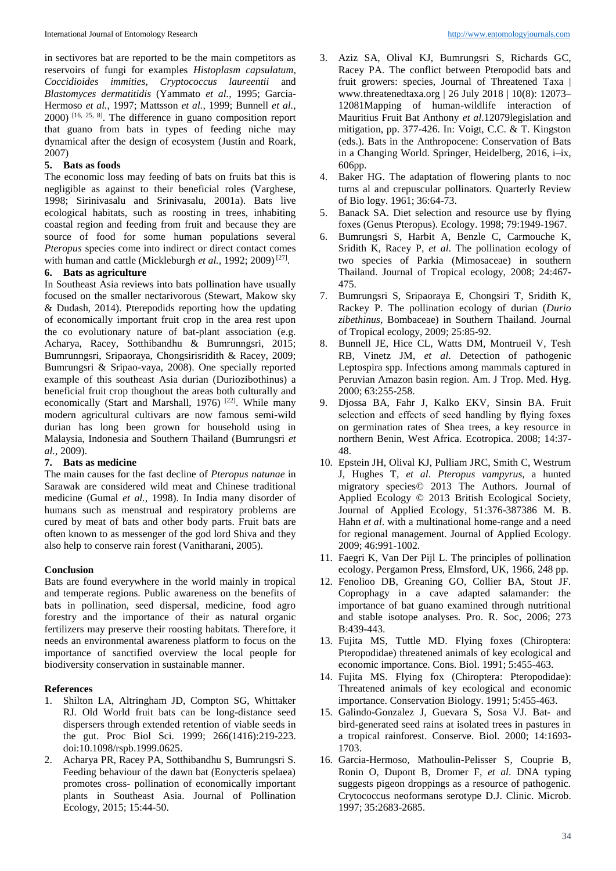in sectivores bat are reported to be the main competitors as reservoirs of fungi for examples *Histoplasm capsulatum*, *Coccidioides immities*, *Cryptococcus laureentii* and *Blastomyces dermatitidis* (Yammato *et al.,* 1995; Garcia-Hermoso *et al.,* 1997; Mattsson *et al.,* 1999; Bunnell *et al.,*  $(2000)$  [16, 25, 8]. The difference in guano composition report that guano from bats in types of feeding niche may dynamical after the design of ecosystem (Justin and Roark, 2007)

# **5. Bats as foods**

The economic loss may feeding of bats on fruits bat this is negligible as against to their beneficial roles (Varghese, 1998; Sirinivasalu and Srinivasalu, 2001a). Bats live ecological habitats, such as roosting in trees, inhabiting coastal region and feeding from fruit and because they are source of food for some human populations several *Pteropus* species come into indirect or direct contact comes with human and cattle (Mickleburgh et al., 1992; 2009)<sup>[27]</sup>.

### **6. Bats as agriculture**

In Southeast Asia reviews into bats pollination have usually focused on the smaller nectarivorous (Stewart, Makow sky & Dudash, 2014). Pterepodids reporting how the updating of economically important fruit crop in the area rest upon the co evolutionary nature of bat-plant association (e.g. Acharya, Racey, Sotthibandhu & Bumrunngsri, 2015; Bumrunngsri, Sripaoraya, Chongsirisridith & Racey, 2009; Bumrungsri & Sripao-vaya, 2008). One specially reported example of this southeast Asia durian (Duriozibothinus) a beneficial fruit crop thoughout the areas both culturally and economically (Start and Marshall, 1976)<sup>[22]</sup>. While many modern agricultural cultivars are now famous semi-wild durian has long been grown for household using in Malaysia, Indonesia and Southern Thailand (Bumrungsri *et al.,* 2009).

# **7. Bats as medicine**

The main causes for the fast decline of *Pteropus natunae* in Sarawak are considered wild meat and Chinese traditional medicine (Gumal *et al.,* 1998). In India many disorder of humans such as menstrual and respiratory problems are cured by meat of bats and other body parts. Fruit bats are often known to as messenger of the god lord Shiva and they also help to conserve rain forest (Vanitharani, 2005).

# **Conclusion**

Bats are found everywhere in the world mainly in tropical and temperate regions. Public awareness on the benefits of bats in pollination, seed dispersal, medicine, food agro forestry and the importance of their as natural organic fertilizers may preserve their roosting habitats. Therefore, it needs an environmental awareness platform to focus on the importance of sanctified overview the local people for biodiversity conservation in sustainable manner.

# **References**

- 1. Shilton LA, Altringham JD, Compton SG, Whittaker RJ. Old World fruit bats can be long-distance seed dispersers through extended retention of viable seeds in the gut. Proc Biol Sci. 1999; 266(1416):219-223. doi:10.1098/rspb.1999.0625.
- 2. Acharya PR, Racey PA, Sotthibandhu S, Bumrungsri S. Feeding behaviour of the dawn bat (Eonycteris spelaea) promotes cross- pollination of economically important plants in Southeast Asia. Journal of Pollination Ecology, 2015; 15:44-50.
- 3. Aziz SA, Olival KJ, Bumrungsri S, Richards GC, Racey PA. The conflict between Pteropodid bats and fruit growers: species, Journal of Threatened Taxa | www.threatenedtaxa.org | 26 July 2018 | 10(8): 12073– 12081Mapping of human-wildlife interaction of Mauritius Fruit Bat Anthony *et al*.12079legislation and mitigation, pp. 377-426. In: Voigt, C.C. & T. Kingston (eds.). Bats in the Anthropocene: Conservation of Bats in a Changing World. Springer, Heidelberg, 2016, i–ix, 606pp.
- 4. Baker HG. The adaptation of flowering plants to noc turns al and crepuscular pollinators. Quarterly Review of Bio logy. 1961; 36:64-73.
- 5. Banack SA. Diet selection and resource use by flying foxes (Genus Pteropus). Ecology. 1998; 79:1949-1967.
- 6. Bumrungsri S, Harbit A, Benzle C, Carmouche K, Sridith K, Racey P, *et al*. The pollination ecology of two species of Parkia (Mimosaceae) in southern Thailand. Journal of Tropical ecology, 2008; 24:467- 475.
- 7. Bumrungsri S, Sripaoraya E, Chongsiri T, Sridith K, Rackey P. The pollination ecology of durian (*Durio zibethinus*, Bombaceae) in Southern Thailand. Journal of Tropical ecology, 2009; 25:85-92.
- 8. Bunnell JE, Hice CL, Watts DM, Montrueil V, Tesh RB, Vinetz JM, *et al*. Detection of pathogenic Leptospira spp. Infections among mammals captured in Peruvian Amazon basin region. Am. J Trop. Med. Hyg. 2000; 63:255-258.
- 9. Djossa BA, Fahr J, Kalko EKV, Sinsin BA. Fruit selection and effects of seed handling by flying foxes on germination rates of Shea trees, a key resource in northern Benin, West Africa. Ecotropica. 2008; 14:37- 48.
- 10. Epstein JH, Olival KJ, Pulliam JRC, Smith C, Westrum J, Hughes T, *et al*. *Pteropus vampyrus*, a hunted migratory species© 2013 The Authors. Journal of Applied Ecology © 2013 British Ecological Society, Journal of Applied Ecology, 51:376-387386 M. B. Hahn *et al*. with a multinational home-range and a need for regional management. Journal of Applied Ecology. 2009; 46:991-1002.
- 11. Faegri K, Van Der Pijl L. The principles of pollination ecology. Pergamon Press, Elmsford, UK, 1966, 248 pp.
- 12. Fenolioo DB, Greaning GO, Collier BA, Stout JF. Coprophagy in a cave adapted salamander: the importance of bat guano examined through nutritional and stable isotope analyses. Pro. R. Soc, 2006; 273 B:439-443.
- 13. Fujita MS, Tuttle MD. Flying foxes (Chiroptera: Pteropodidae) threatened animals of key ecological and economic importance. Cons. Biol. 1991; 5:455-463.
- 14. Fujita MS. Flying fox (Chiroptera: Pteropodidae): Threatened animals of key ecological and economic importance. Conservation Biology. 1991; 5:455-463.
- 15. Galindo-Gonzalez J, Guevara S, Sosa VJ. Bat- and bird-generated seed rains at isolated trees in pastures in a tropical rainforest. Conserve. Biol. 2000; 14:1693- 1703.
- 16. Garcia-Hermoso, Mathoulin-Pelisser S, Couprie B, Ronin O, Dupont B, Dromer F, *et al*. DNA typing suggests pigeon droppings as a resource of pathogenic. Crytococcus neoformans serotype D.J. Clinic. Microb. 1997; 35:2683-2685.